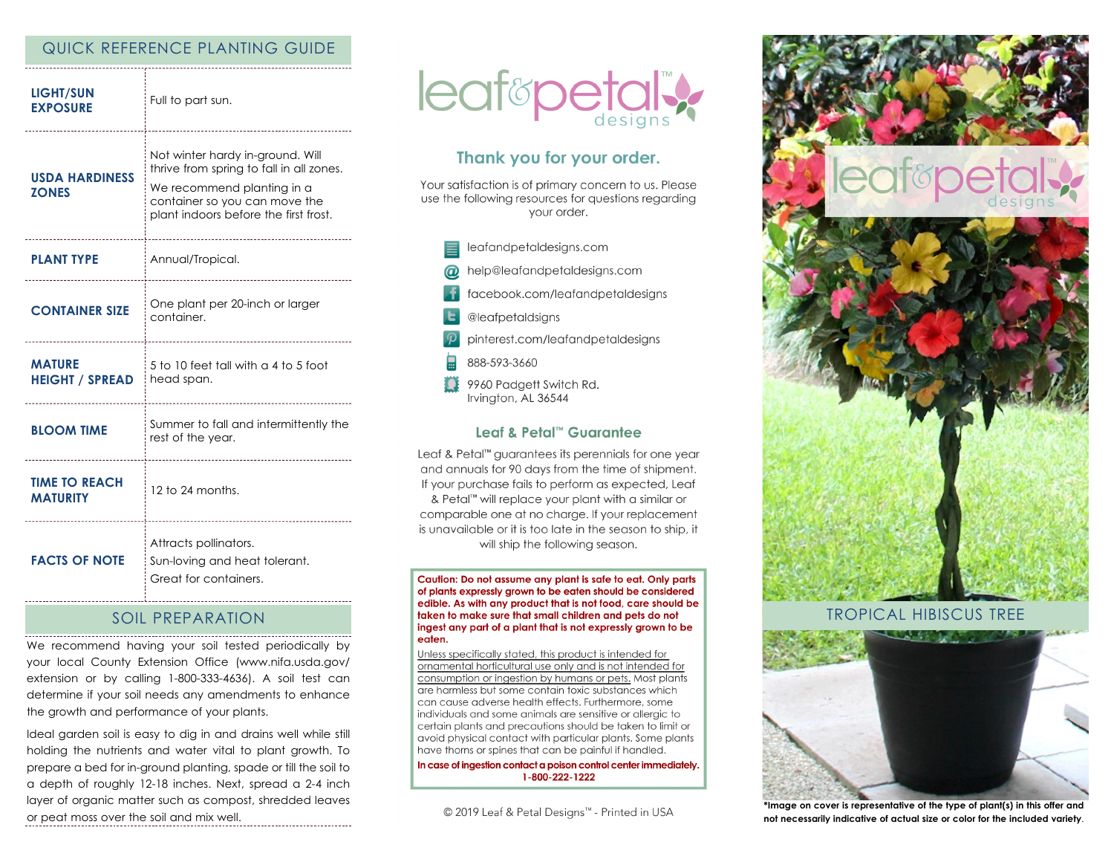## QUICK REFERENCE PLANTING GUIDE

| <b>LIGHT/SUN</b><br><b>EXPOSURE</b>     | Full to part sun.                                                                                                                                                                    |
|-----------------------------------------|--------------------------------------------------------------------------------------------------------------------------------------------------------------------------------------|
| <b>USDA HARDINESS</b><br><b>ZONES</b>   | Not winter hardy in-ground. Will<br>thrive from spring to fall in all zones.<br>We recommend planting in a<br>container so you can move the<br>plant indoors before the first frost. |
| <b>PLANT TYPE</b>                       | Annual/Tropical.                                                                                                                                                                     |
| <b>CONTAINER SIZE</b>                   | One plant per 20-inch or larger<br>container.                                                                                                                                        |
| <b>MATURE</b><br><b>HEIGHT / SPREAD</b> | 5 to 10 feet tall with a 4 to 5 foot<br>head span.                                                                                                                                   |
| <b>BLOOM TIME</b>                       | Summer to fall and intermittently the<br>rest of the year.                                                                                                                           |
| <b>TIME TO REACH</b><br><b>MATURITY</b> | 12 to 24 months.                                                                                                                                                                     |
| <b>FACTS OF NOTE</b>                    | Attracts pollinators.<br>Sun-loving and heat tolerant.<br>Great for containers.                                                                                                      |

#### SOIL PREPARATION

We recommend having your soil tested periodically by your local County Extension Office (www.nifa.usda.gov/ extension or by calling 1-800-333-4636). A soil test can determine if your soil needs any amendments to enhance the growth and performance of your plants.

Ideal garden soil is easy to dig in and drains well while still holding the nutrients and water vital to plant growth. To prepare a bed for in-ground planting, spade or till the soil to a depth of roughly 12-18 inches. Next, spread a 2-4 inch layer of organic matter such as compost, shredded leaves or peat moss over the soil and mix well.



# Thank you for your order.

Your satisfaction is of primary concern to us. Please use the following resources for questions regarding vour order.

- leafandpetaldesigns.com
- help@leafandpetaldesigns.com
- facebook.com/leafandpetaldesigns
- @leafpetaldsigns
- pinterest.com/leafandpetaldesigns
- 888-593-3660
- 9960 Padgett Switch Rd. Irvington, AL 36544

#### Leaf & Petal™ Guarantee

Leaf & Petal<sup>™</sup> guarantees its perennials for one year and annuals for 90 days from the time of shipment. If your purchase fails to perform as expected, Leaf & Petal™ will replace your plant with a similar or comparable one at no charge. If your replacement is unavailable or it is too late in the season to ship, it will ship the following season.

Caution: Do not assume any plant is safe to eat. Only parts of plants expressly grown to be eaten should be considered edible. As with any product that is not food, care should be taken to make sure that small children and pets do not ingest any part of a plant that is not expressly grown to be eaten.

Unless specifically stated, this product is intended for ornamental horticultural use only and is not intended for consumption or ingestion by humans or pets. Most plants are harmless but some contain toxic substances which can cause adverse health effects. Furthermore, some individuals and some animals are sensitive or allergic to certain plants and precautions should be taken to limit or avoid physical contact with particular plants. Some plants have thorns or spines that can be painful if handled.

In case of ingestion contact a poison control center immediately. 1-800-222-1222

© 2019 Leaf & Petal Designs™ - Printed in USA



## TROPICAL HIBISCUS TREE



**\*Image on cover is representative of the type of plant(s) in this offer and not necessarily indicative of actual size or color for the included variety**.